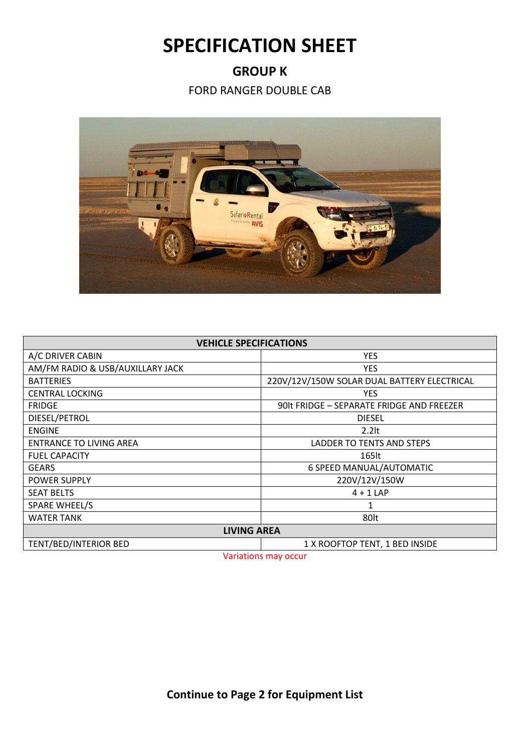## **SPECIFICATION SHEET**

## **GROUP K**

FORD RANGER DOUBLE CAB



| <b>VEHICLE SPECIFICATIONS</b>    |                                             |  |
|----------------------------------|---------------------------------------------|--|
| A/C DRIVER CABIN                 | <b>YES</b>                                  |  |
| AM/FM RADIO & USB/AUXILLARY JACK | <b>YES</b>                                  |  |
| <b>BATTERIES</b>                 | 220V/12V/150W SOLAR DUAL BATTERY ELECTRICAL |  |
| <b>CENTRAL LOCKING</b>           | <b>YES</b>                                  |  |
| <b>FRIDGE</b>                    | 90lt FRIDGE - SEPARATE FRIDGE AND FREEZER   |  |
| DIESEL/PETROL                    | <b>DIESEL</b>                               |  |
| <b>ENGINE</b>                    | $2.2$ lt                                    |  |
| <b>ENTRANCE TO LIVING AREA</b>   | LADDER TO TENTS AND STEPS                   |  |
| <b>FUEL CAPACITY</b>             | 165lt                                       |  |
| <b>GEARS</b>                     | 6 SPEED MANUAL/AUTOMATIC                    |  |
| <b>POWER SUPPLY</b>              | 220V/12V/150W                               |  |
| <b>SEAT BELTS</b>                | $4 + 1$ LAP                                 |  |
| SPARE WHEEL/S                    | 1                                           |  |
| WATER TANK                       | 80lt                                        |  |
| <b>LIVING AREA</b>               |                                             |  |
| TENT/BED/INTERIOR BED            | 1 X ROOFTOP TENT, 1 BED INSIDE              |  |

Variations may occur